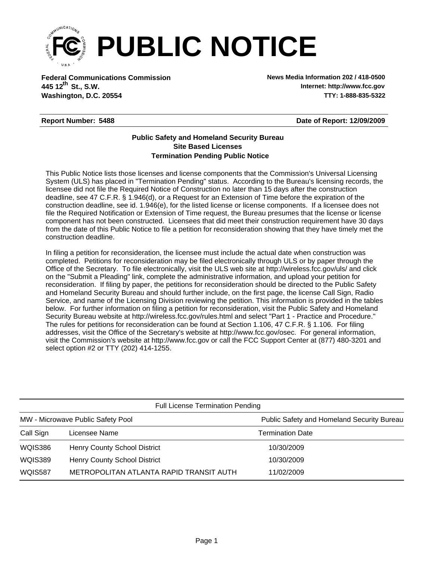

**Federal Communications Commission News Media Information 202 / 418-0500 Washington, D.C. 20554 TTY: 1-888-835-5322 445 12<sup>th</sup> St., S.W.** 

**Internet: http://www.fcc.gov**

## **Report Number: 5488**

**Date of Report: 12/09/2009**

## **Termination Pending Public Notice Site Based Licenses Public Safety and Homeland Security Bureau**

This Public Notice lists those licenses and license components that the Commission's Universal Licensing System (ULS) has placed in "Termination Pending" status. According to the Bureau's licensing records, the licensee did not file the Required Notice of Construction no later than 15 days after the construction deadline, see 47 C.F.R. § 1.946(d), or a Request for an Extension of Time before the expiration of the construction deadline, see id. 1.946(e), for the listed license or license components. If a licensee does not file the Required Notification or Extension of Time request, the Bureau presumes that the license or license component has not been constructed. Licensees that did meet their construction requirement have 30 days from the date of this Public Notice to file a petition for reconsideration showing that they have timely met the construction deadline.

In filing a petition for reconsideration, the licensee must include the actual date when construction was completed. Petitions for reconsideration may be filed electronically through ULS or by paper through the Office of the Secretary. To file electronically, visit the ULS web site at http://wireless.fcc.gov/uls/ and click on the "Submit a Pleading" link, complete the administrative information, and upload your petition for reconsideration. If filing by paper, the petitions for reconsideration should be directed to the Public Safety and Homeland Security Bureau and should further include, on the first page, the license Call Sign, Radio Service, and name of the Licensing Division reviewing the petition. This information is provided in the tables below. For further information on filing a petition for reconsideration, visit the Public Safety and Homeland Security Bureau website at http://wireless.fcc.gov/rules.html and select "Part 1 - Practice and Procedure." The rules for petitions for reconsideration can be found at Section 1.106, 47 C.F.R. § 1.106. For filing addresses, visit the Office of the Secretary's website at http://www.fcc.gov/osec. For general information, visit the Commission's website at http://www.fcc.gov or call the FCC Support Center at (877) 480-3201 and select option #2 or TTY (202) 414-1255.

| <b>Full License Termination Pending</b> |                                         |                                            |  |  |  |
|-----------------------------------------|-----------------------------------------|--------------------------------------------|--|--|--|
| MW - Microwave Public Safety Pool       |                                         | Public Safety and Homeland Security Bureau |  |  |  |
| Call Sign                               | Licensee Name                           | <b>Termination Date</b>                    |  |  |  |
| WQIS386                                 | <b>Henry County School District</b>     | 10/30/2009                                 |  |  |  |
| WQIS389                                 | <b>Henry County School District</b>     | 10/30/2009                                 |  |  |  |
| <b>WQIS587</b>                          | METROPOLITAN ATLANTA RAPID TRANSIT AUTH | 11/02/2009                                 |  |  |  |